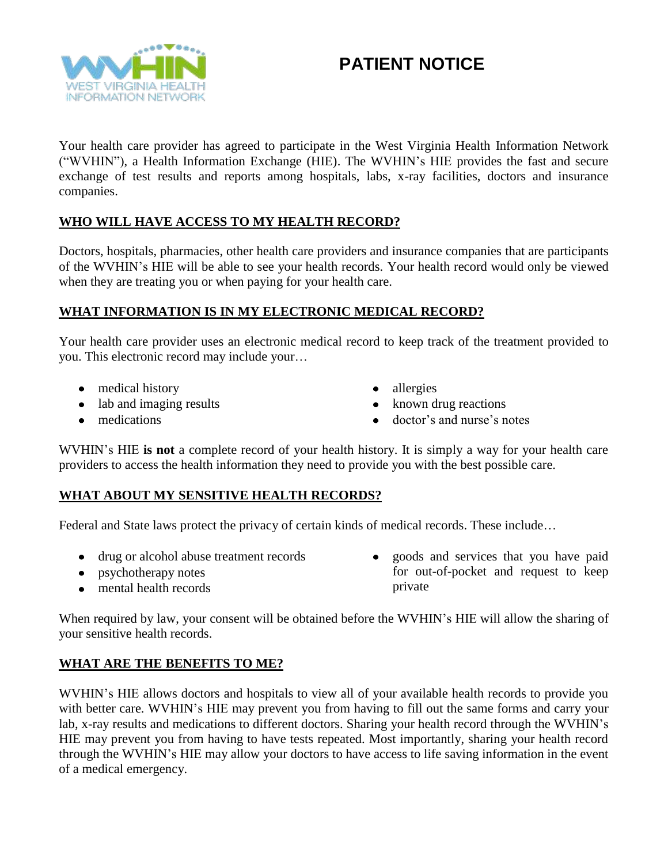

# **PATIENT NOTICE**

Your health care provider has agreed to participate in the West Virginia Health Information Network ("WVHIN"), a Health Information Exchange (HIE). The WVHIN's HIE provides the fast and secure exchange of test results and reports among hospitals, labs, x-ray facilities, doctors and insurance companies.

# **WHO WILL HAVE ACCESS TO MY HEALTH RECORD?**

Doctors, hospitals, pharmacies, other health care providers and insurance companies that are participants of the WVHIN's HIE will be able to see your health records. Your health record would only be viewed when they are treating you or when paying for your health care.

## **WHAT INFORMATION IS IN MY ELECTRONIC MEDICAL RECORD?**

Your health care provider uses an electronic medical record to keep track of the treatment provided to you. This electronic record may include your…

- medical history
- lab and imaging results
- medications
- allergies
- known drug reactions
- doctor's and nurse's notes

WVHIN's HIE **is not** a complete record of your health history. It is simply a way for your health care providers to access the health information they need to provide you with the best possible care.

## **WHAT ABOUT MY SENSITIVE HEALTH RECORDS?**

Federal and State laws protect the privacy of certain kinds of medical records. These include…

- drug or alcohol abuse treatment records
- psychotherapy notes
- mental health records

• goods and services that you have paid for out-of-pocket and request to keep private

When required by law, your consent will be obtained before the WVHIN's HIE will allow the sharing of your sensitive health records.

## **WHAT ARE THE BENEFITS TO ME?**

WVHIN's HIE allows doctors and hospitals to view all of your available health records to provide you with better care. WVHIN's HIE may prevent you from having to fill out the same forms and carry your lab, x-ray results and medications to different doctors. Sharing your health record through the WVHIN's HIE may prevent you from having to have tests repeated. Most importantly, sharing your health record through the WVHIN's HIE may allow your doctors to have access to life saving information in the event of a medical emergency.